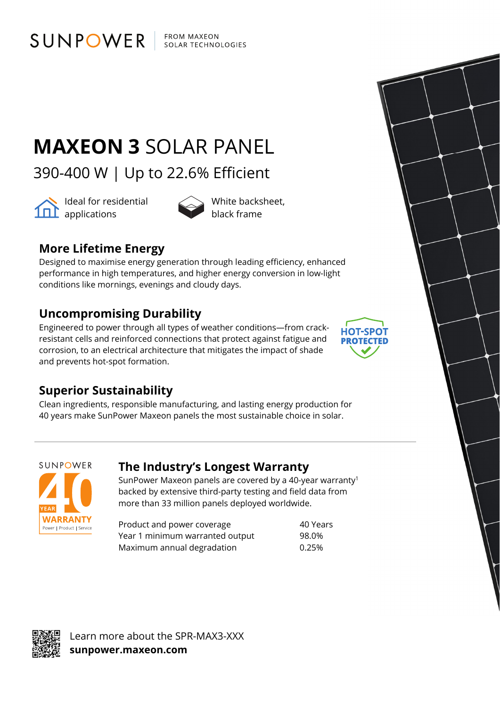SUNPOWER FROM MAXEON SOLAR TECHNOLOGIES

# **MAXEON 3** SOLAR PANEL

390-400 W | Up to 22.6% Efficient



ldeal for residential **101** applications



black frame

### **More Lifetime Energy**

Designed to maximise energy generation through leading efficiency, enhanced performance in high temperatures, and higher energy conversion in low-light conditions like mornings, evenings and cloudy days.

### **Uncompromising Durability**

Engineered to power through all types of weather conditions—from crackresistant cells and reinforced connections that protect against fatigue and corrosion, to an electrical architecture that mitigates the impact of shade and prevents hot-spot formation.



#### **Superior Sustainability**

Clean ingredients, responsible manufacturing, and lasting energy production for 40 years make SunPower Maxeon panels the most sustainable choice in solar.



#### **The Industry's Longest Warranty**

SunPower Maxeon panels are covered by a 40-year warranty1 backed by extensive third-party testing and field data from more than 33 million panels deployed worldwide.

Product and power coverage and the 40 Years Year 1 minimum warranted output 98.0% Maximum annual degradation 6.25%